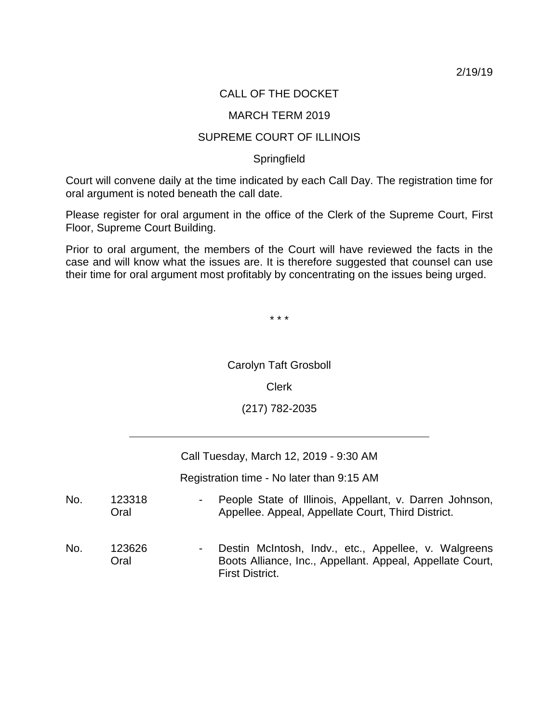2/19/19

# CALL OF THE DOCKET

### MARCH TERM 2019

## SUPREME COURT OF ILLINOIS

### **Springfield**

Court will convene daily at the time indicated by each Call Day. The registration time for oral argument is noted beneath the call date.

Please register for oral argument in the office of the Clerk of the Supreme Court, First Floor, Supreme Court Building.

Prior to oral argument, the members of the Court will have reviewed the facts in the case and will know what the issues are. It is therefore suggested that counsel can use their time for oral argument most profitably by concentrating on the issues being urged.

\* \* \*

Carolyn Taft Grosboll

# Clerk

(217) 782-2035

Call Tuesday, March 12, 2019 - 9:30 AM

Registration time - No later than 9:15 AM

| No. | 123318<br>Oral | $\sim 100$     | People State of Illinois, Appellant, v. Darren Johnson,<br>Appellee. Appeal, Appellate Court, Third District.                               |
|-----|----------------|----------------|---------------------------------------------------------------------------------------------------------------------------------------------|
| No. | 123626<br>Oral | $\blacksquare$ | Destin McIntosh, Indv., etc., Appellee, v. Walgreens<br>Boots Alliance, Inc., Appellant. Appeal, Appellate Court,<br><b>First District.</b> |